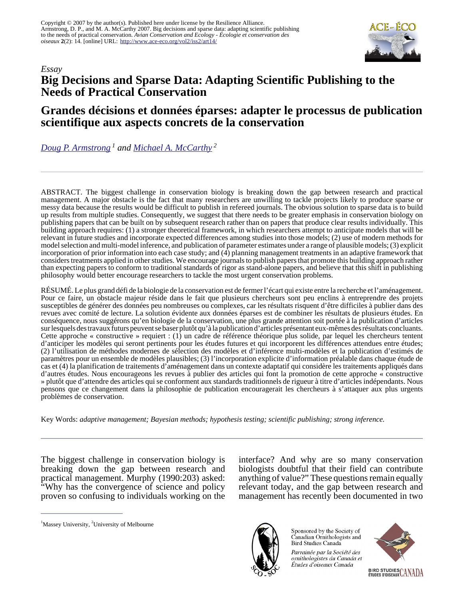

## *Essay* **Big Decisions and Sparse Data: Adapting Scientific Publishing to the Needs of Practical Conservation**

## **Grandes décisions et données éparses: adapter le processus de publication scientifique aux aspects concrets de la conservation**

*[Doug P. Armstrong](mailto:D.P.Armstrong@massey.ac.nz)<sup>1</sup> and [Michael A. McCarthy](mailto:mamcca@unimelb.edu.au)<sup>2</sup>*

ABSTRACT. The biggest challenge in conservation biology is breaking down the gap between research and practical management. A major obstacle is the fact that many researchers are unwilling to tackle projects likely to produce sparse or messy data because the results would be difficult to publish in refereed journals. The obvious solution to sparse data is to build up results from multiple studies. Consequently, we suggest that there needs to be greater emphasis in conservation biology on publishing papers that can be built on by subsequent research rather than on papers that produce clear results individually. This building approach requires: (1) a stronger theoretical framework, in which researchers attempt to anticipate models that will be relevant in future studies and incorporate expected differences among studies into those models; (2) use of modern methods for model selection and multi-model inference, and publication of parameter estimates under a range of plausible models; (3) explicit incorporation of prior information into each case study; and (4) planning management treatments in an adaptive framework that considers treatments applied in other studies. We encourage journals to publish papers that promote this building approach rather than expecting papers to conform to traditional standards of rigor as stand-alone papers, and believe that this shift in publishing philosophy would better encourage researchers to tackle the most urgent conservation problems.

RÉSUMÉ. Le plus grand défi de la biologie de la conservation est de fermer l'écart qui existe entre la recherche et l'aménagement. Pour ce faire, un obstacle majeur réside dans le fait que plusieurs chercheurs sont peu enclins à entreprendre des projets susceptibles de générer des données peu nombreuses ou complexes, car les résultats risquent d'être difficiles à publier dans des revues avec comité de lecture. La solution évidente aux données éparses est de combiner les résultats de plusieurs études. En conséquence, nous suggérons qu'en biologie de la conservation, une plus grande attention soit portée à la publication d'articles sur lesquels des travaux futurs peuvent se baser plutôt qu'à la publication d'articles présentant eux-mêmes des résultats concluants. Cette approche « constructive » requiert : (1) un cadre de référence théorique plus solide, par lequel les chercheurs tentent d'anticiper les modèles qui seront pertinents pour les études futures et qui incorporent les différences attendues entre études; (2) l'utilisation de méthodes modernes de sélection des modèles et d'inférence multi-modèles et la publication d'estimés de paramètres pour un ensemble de modèles plausibles; (3) l'incorporation explicite d'information préalable dans chaque étude de cas et (4) la planification de traitements d'aménagement dans un contexte adaptatif qui considère les traitements appliqués dans d'autres études. Nous encourageons les revues à publier des articles qui font la promotion de cette approche « constructive » plutôt que d'attendre des articles qui se conforment aux standards traditionnels de rigueur à titre d'articles indépendants. Nous pensons que ce changement dans la philosophie de publication encouragerait les chercheurs à s'attaquer aux plus urgents problèmes de conservation.

Key Words: *adaptive management; Bayesian methods; hypothesis testing; scientific publishing; strong inference.*

The biggest challenge in conservation biology is breaking down the gap between research and practical management. Murphy (1990:203) asked: "Why has the convergence of science and policy proven so confusing to individuals working on the interface? And why are so many conservation biologists doubtful that their field can contribute anything of value?" These questions remain equally relevant today, and the gap between research and management has recently been documented in two

<sup>1</sup>Massey University, <sup>2</sup>University of Melbourne



Sponsored by the Society of Canadian Ornithologists and Bird Studies Canada

Parrainée par la Société des ornithologistes du Canada et Études d'oiseaux Canada

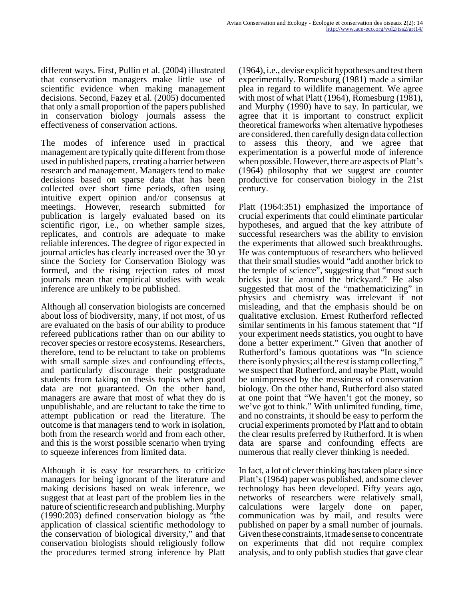different ways. First, Pullin et al. (2004) illustrated that conservation managers make little use of scientific evidence when making management decisions. Second, Fazey et al. (2005) documented that only a small proportion of the papers published in conservation biology journals assess the effectiveness of conservation actions.

The modes of inference used in practical management are typically quite different from those used in published papers, creating a barrier between research and management. Managers tend to make decisions based on sparse data that has been collected over short time periods, often using intuitive expert opinion and/or consensus at meetings. However, research submitted for publication is largely evaluated based on its scientific rigor, i.e., on whether sample sizes, replicates, and controls are adequate to make reliable inferences. The degree of rigor expected in journal articles has clearly increased over the 30 yr since the Society for Conservation Biology was formed, and the rising rejection rates of most journals mean that empirical studies with weak inference are unlikely to be published.

Although all conservation biologists are concerned about loss of biodiversity, many, if not most, of us are evaluated on the basis of our ability to produce refereed publications rather than on our ability to recover species or restore ecosystems. Researchers, therefore, tend to be reluctant to take on problems with small sample sizes and confounding effects, and particularly discourage their postgraduate students from taking on thesis topics when good data are not guaranteed. On the other hand, managers are aware that most of what they do is unpublishable, and are reluctant to take the time to attempt publication or read the literature. The outcome is that managers tend to work in isolation, both from the research world and from each other, and this is the worst possible scenario when trying to squeeze inferences from limited data.

Although it is easy for researchers to criticize managers for being ignorant of the literature and making decisions based on weak inference, we suggest that at least part of the problem lies in the nature of scientific research and publishing. Murphy (1990:203) defined conservation biology as "the application of classical scientific methodology to the conservation of biological diversity," and that conservation biologists should religiously follow the procedures termed strong inference by Platt

(1964), i.e., devise explicit hypotheses and test them experimentally. Romesburg (1981) made a similar plea in regard to wildlife management. We agree with most of what Platt (1964), Romesburg (1981), and Murphy (1990) have to say. In particular, we agree that it is important to construct explicit theoretical frameworks when alternative hypotheses are considered, then carefully design data collection to assess this theory, and we agree that experimentation is a powerful mode of inference when possible. However, there are aspects of Platt's (1964) philosophy that we suggest are counter productive for conservation biology in the 21st century.

Platt (1964:351) emphasized the importance of crucial experiments that could eliminate particular hypotheses, and argued that the key attribute of successful researchers was the ability to envision the experiments that allowed such breakthroughs. He was contemptuous of researchers who believed that their small studies would "add another brick to the temple of science", suggesting that "most such bricks just lie around the brickyard." He also suggested that most of the "mathematicizing" in physics and chemistry was irrelevant if not misleading, and that the emphasis should be on qualitative exclusion. Ernest Rutherford reflected similar sentiments in his famous statement that "If your experiment needs statistics, you ought to have done a better experiment." Given that another of Rutherford's famous quotations was "In science there is only physics; all the rest is stamp collecting," we suspect that Rutherford, and maybe Platt, would be unimpressed by the messiness of conservation biology. On the other hand, Rutherford also stated at one point that "We haven't got the money, so we've got to think." With unlimited funding, time, and no constraints, it should be easy to perform the crucial experiments promoted by Platt and to obtain the clear results preferred by Rutherford. It is when data are sparse and confounding effects are numerous that really clever thinking is needed.

In fact, a lot of clever thinking has taken place since Platt's (1964) paper was published, and some clever technology has been developed. Fifty years ago, networks of researchers were relatively small, calculations were largely done on paper, communication was by mail, and results were published on paper by a small number of journals. Given these constraints, it made sense to concentrate on experiments that did not require complex analysis, and to only publish studies that gave clear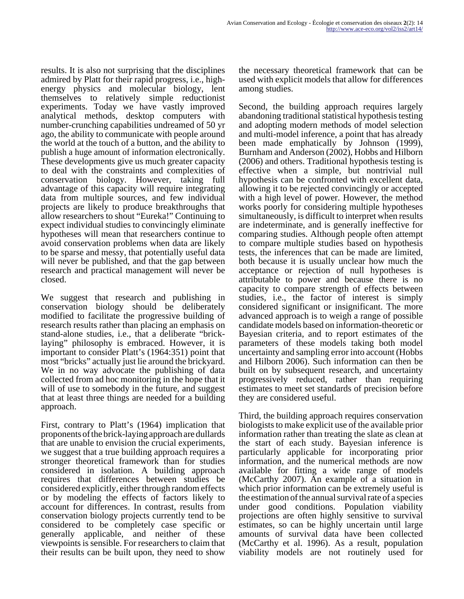results. It is also not surprising that the disciplines admired by Platt for their rapid progress, i.e., highenergy physics and molecular biology, lent themselves to relatively simple reductionist experiments. Today we have vastly improved analytical methods, desktop computers with number-crunching capabilities undreamed of 50 yr ago, the ability to communicate with people around the world at the touch of a button, and the ability to publish a huge amount of information electronically. These developments give us much greater capacity to deal with the constraints and complexities of conservation biology. However, taking full advantage of this capacity will require integrating data from multiple sources, and few individual projects are likely to produce breakthroughs that allow researchers to shout "Eureka!" Continuing to expect individual studies to convincingly eliminate hypotheses will mean that researchers continue to avoid conservation problems when data are likely to be sparse and messy, that potentially useful data will never be published, and that the gap between research and practical management will never be closed.

We suggest that research and publishing in conservation biology should be deliberately modified to facilitate the progressive building of research results rather than placing an emphasis on stand-alone studies, i.e., that a deliberate "bricklaying" philosophy is embraced. However, it is important to consider Platt's (1964:351) point that most "bricks" actually just lie around the brickyard. We in no way advocate the publishing of data collected from ad hoc monitoring in the hope that it will of use to somebody in the future, and suggest that at least three things are needed for a building approach.

First, contrary to Platt's (1964) implication that proponents of the brick-laying approach are dullards that are unable to envision the crucial experiments, we suggest that a true building approach requires a stronger theoretical framework than for studies considered in isolation. A building approach requires that differences between studies be considered explicitly, either through random effects or by modeling the effects of factors likely to account for differences. In contrast, results from conservation biology projects currently tend to be considered to be completely case specific or generally applicable, and neither of these viewpoints is sensible. For researchers to claim that their results can be built upon, they need to show

the necessary theoretical framework that can be used with explicit models that allow for differences among studies.

Second, the building approach requires largely abandoning traditional statistical hypothesis testing and adopting modern methods of model selection and multi-model inference, a point that has already been made emphatically by Johnson (1999), Burnham and Anderson (2002), Hobbs and Hilborn (2006) and others. Traditional hypothesis testing is effective when a simple, but nontrivial null hypothesis can be confronted with excellent data, allowing it to be rejected convincingly or accepted with a high level of power. However, the method works poorly for considering multiple hypotheses simultaneously, is difficult to interpret when results are indeterminate, and is generally ineffective for comparing studies. Although people often attempt to compare multiple studies based on hypothesis tests, the inferences that can be made are limited, both because it is usually unclear how much the acceptance or rejection of null hypotheses is attributable to power and because there is no capacity to compare strength of effects between studies, i.e., the factor of interest is simply considered significant or insignificant. The more advanced approach is to weigh a range of possible candidate models based on information-theoretic or Bayesian criteria, and to report estimates of the parameters of these models taking both model uncertainty and sampling error into account (Hobbs and Hilborn 2006). Such information can then be built on by subsequent research, and uncertainty progressively reduced, rather than requiring estimates to meet set standards of precision before they are considered useful.

Third, the building approach requires conservation biologists to make explicit use of the available prior information rather than treating the slate as clean at the start of each study. Bayesian inference is particularly applicable for incorporating prior information, and the numerical methods are now available for fitting a wide range of models (McCarthy 2007). An example of a situation in which prior information can be extremely useful is the estimation of the annual survival rate of a species under good conditions. Population viability projections are often highly sensitive to survival estimates, so can be highly uncertain until large amounts of survival data have been collected (McCarthy et al. 1996). As a result, population viability models are not routinely used for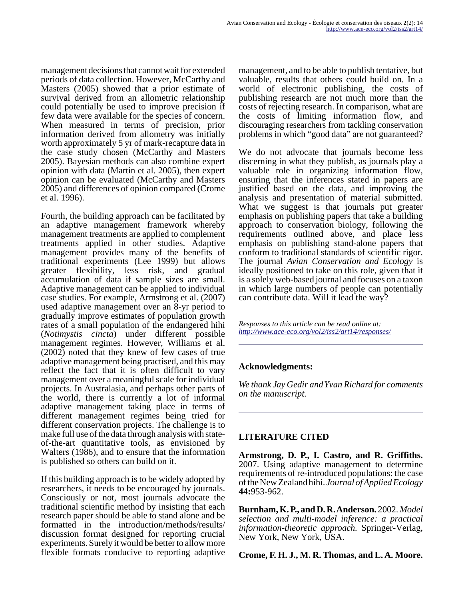management decisions that cannot wait for extended periods of data collection. However, McCarthy and Masters (2005) showed that a prior estimate of survival derived from an allometric relationship could potentially be used to improve precision if few data were available for the species of concern. When measured in terms of precision, prior information derived from allometry was initially worth approximately 5 yr of mark-recapture data in the case study chosen (McCarthy and Masters 2005). Bayesian methods can also combine expert opinion with data (Martin et al. 2005), then expert opinion can be evaluated (McCarthy and Masters 2005) and differences of opinion compared (Crome et al. 1996).

Fourth, the building approach can be facilitated by an adaptive management framework whereby management treatments are applied to complement treatments applied in other studies. Adaptive management provides many of the benefits of traditional experiments (Lee 1999) but allows greater flexibility, less risk, and gradual accumulation of data if sample sizes are small. Adaptive management can be applied to individual case studies. For example, Armstrong et al. (2007) used adaptive management over an 8-yr period to gradually improve estimates of population growth rates of a small population of the endangered hihi (*Notimystis cincta*) under different possible management regimes. However, Williams et al. (2002) noted that they knew of few cases of true adaptive management being practised, and this may reflect the fact that it is often difficult to vary management over a meaningful scale for individual projects. In Australasia, and perhaps other parts of the world, there is currently a lot of informal adaptive management taking place in terms of different management regimes being tried for different conservation projects. The challenge is to make full use of the data through analysis with stateof-the-art quantitative tools, as envisioned by Walters (1986), and to ensure that the information is published so others can build on it.

If this building approach is to be widely adopted by researchers, it needs to be encouraged by journals. Consciously or not, most journals advocate the traditional scientific method by insisting that each research paper should be able to stand alone and be formatted in the introduction/methods/results/ discussion format designed for reporting crucial experiments. Surely it would be better to allow more flexible formats conducive to reporting adaptive

management, and to be able to publish tentative, but valuable, results that others could build on. In a world of electronic publishing, the costs of publishing research are not much more than the costs of rejecting research. In comparison, what are the costs of limiting information flow, and discouraging researchers from tackling conservation problems in which "good data" are not guaranteed?

We do not advocate that journals become less discerning in what they publish, as journals play a valuable role in organizing information flow, ensuring that the inferences stated in papers are justified based on the data, and improving the analysis and presentation of material submitted. What we suggest is that journals put greater emphasis on publishing papers that take a building approach to conservation biology, following the requirements outlined above, and place less emphasis on publishing stand-alone papers that conform to traditional standards of scientific rigor. The journal *Avian Conservation and Ecology* is ideally positioned to take on this role, given that it is a solely web-based journal and focuses on a taxon in which large numbers of people can potentially can contribute data. Will it lead the way?

*Responses to this article can be read online at: <http://www.ace-eco.org/vol2/iss2/art14/responses/>*

## **Acknowledgments:**

*We thank Jay Gedir and Yvan Richard for comments on the manuscript.*

## **LITERATURE CITED**

**Armstrong, D. P., I. Castro, and R. Griffiths.** 2007. Using adaptive management to determine requirements of re-introduced populations: the case of the New Zealand hihi. *Journal of Applied Ecology* **44:**953-962.

**Burnham, K. P., and D. R. Anderson.** 2002. *Model selection and multi-model inference: a practical information-theoretic approach.* Springer-Verlag, New York, New York, USA.

**Crome, F. H. J., M. R. Thomas, and L. A. Moore.**